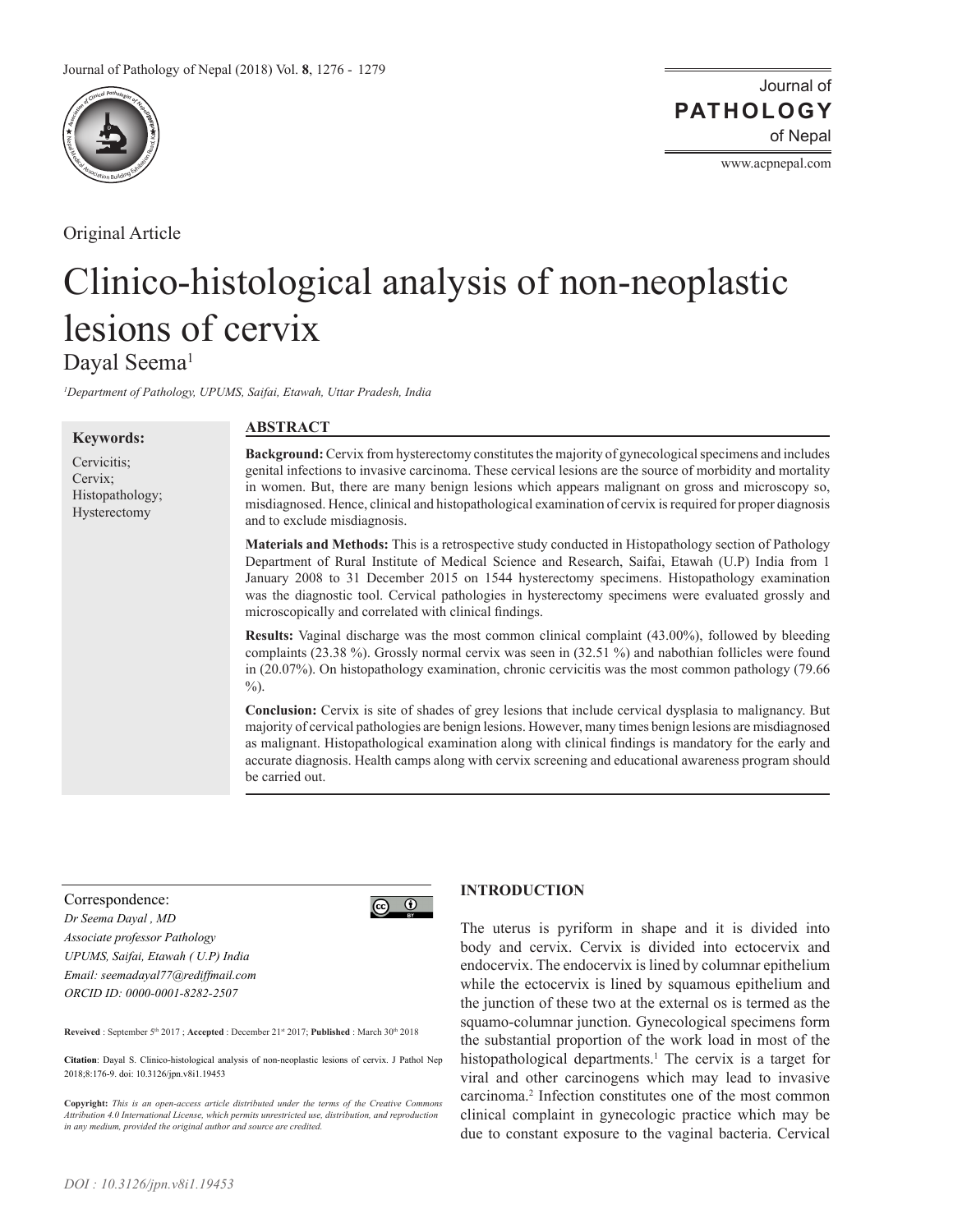

Original Article

Journal of of Nepal **PATHOLOGY**

www.acpnepal.com

# Clinico-histological analysis of non-neoplastic lesions of cervix Dayal Seema<sup>1</sup>

*1 Department of Pathology, UPUMS, Saifai, Etawah, Uttar Pradesh, India*

| <b>Keywords:</b>                                          | <b>ABSTRACT</b>                                                                                                                                                                                                                                                                                                                                                                                                                                                                 |
|-----------------------------------------------------------|---------------------------------------------------------------------------------------------------------------------------------------------------------------------------------------------------------------------------------------------------------------------------------------------------------------------------------------------------------------------------------------------------------------------------------------------------------------------------------|
| Cervicitis;<br>Cervix:<br>Histopathology;<br>Hysterectomy | Background: Cervix from hysterectomy constitutes the majority of gynecological specimens and includes<br>genital infections to invasive carcinoma. These cervical lesions are the source of morbidity and mortality<br>in women. But, there are many benign lesions which appears malignant on gross and microscopy so,<br>misdiagnosed. Hence, clinical and histopathological examination of cervix is required for proper diagnosis<br>and to exclude misdiagnosis.           |
|                                                           | <b>Materials and Methods:</b> This is a retrospective study conducted in Histopathology section of Pathology<br>Department of Rural Institute of Medical Science and Research, Saifai, Etawah (U.P) India from 1<br>January 2008 to 31 December 2015 on 1544 hysterectomy specimens. Histopathology examination<br>was the diagnostic tool. Cervical pathologies in hysterectomy specimens were evaluated grossly and<br>microscopically and correlated with clinical findings. |
|                                                           | Results: Vaginal discharge was the most common clinical complaint (43.00%), followed by bleeding<br>complaints (23.38 %). Grossly normal cervix was seen in (32.51 %) and nabothian follicles were found<br>in $(20.07%)$ . On histopathology examination, chronic cervicitis was the most common pathology $(79.66$<br>$\%$ ).                                                                                                                                                 |
|                                                           | Conclusion: Cervix is site of shades of grey lesions that include cervical dysplasia to malignancy. But<br>majority of cervical pathologies are benign lesions. However, many times benign lesions are misdiagnosed<br>as malignant. Histopathological examination along with clinical findings is mandatory for the early and<br>accurate diagnosis. Health camps along with cervix screening and educational awareness program should                                         |

### Correspondence:

*Dr Seema Dayal , MD Associate professor Pathology UPUMS, Saifai, Etawah ( U.P) India Email: seemadayal77@rediffmail.com ORCID ID: 0000-0001-8282-2507*



Reveived : September 5<sup>th</sup> 2017 ; Accepted : December 21<sup>st</sup> 2017; Published : March 30<sup>th</sup> 2018

**Citation**: Dayal S. Clinico-histological analysis of non-neoplastic lesions of cervix. J Pathol Nep 2018;8:176-9. doi: 10.3126/jpn.v8i1.19453

be carried out.

**Copyright:** *This is an open-access article distributed under the terms of the Creative Commons Attribution 4.0 International License, which permits unrestricted use, distribution, and reproduction in any medium, provided the original author and source are credited.*

# **INTRODUCTION**

The uterus is pyriform in shape and it is divided into body and cervix. Cervix is divided into ectocervix and endocervix. The endocervix is lined by columnar epithelium while the ectocervix is lined by squamous epithelium and the junction of these two at the external os is termed as the squamo-columnar junction. Gynecological specimens form the substantial proportion of the work load in most of the histopathological departments.<sup>1</sup> The cervix is a target for viral and other carcinogens which may lead to invasive carcinoma.2 Infection constitutes one of the most common clinical complaint in gynecologic practice which may be due to constant exposure to the vaginal bacteria. Cervical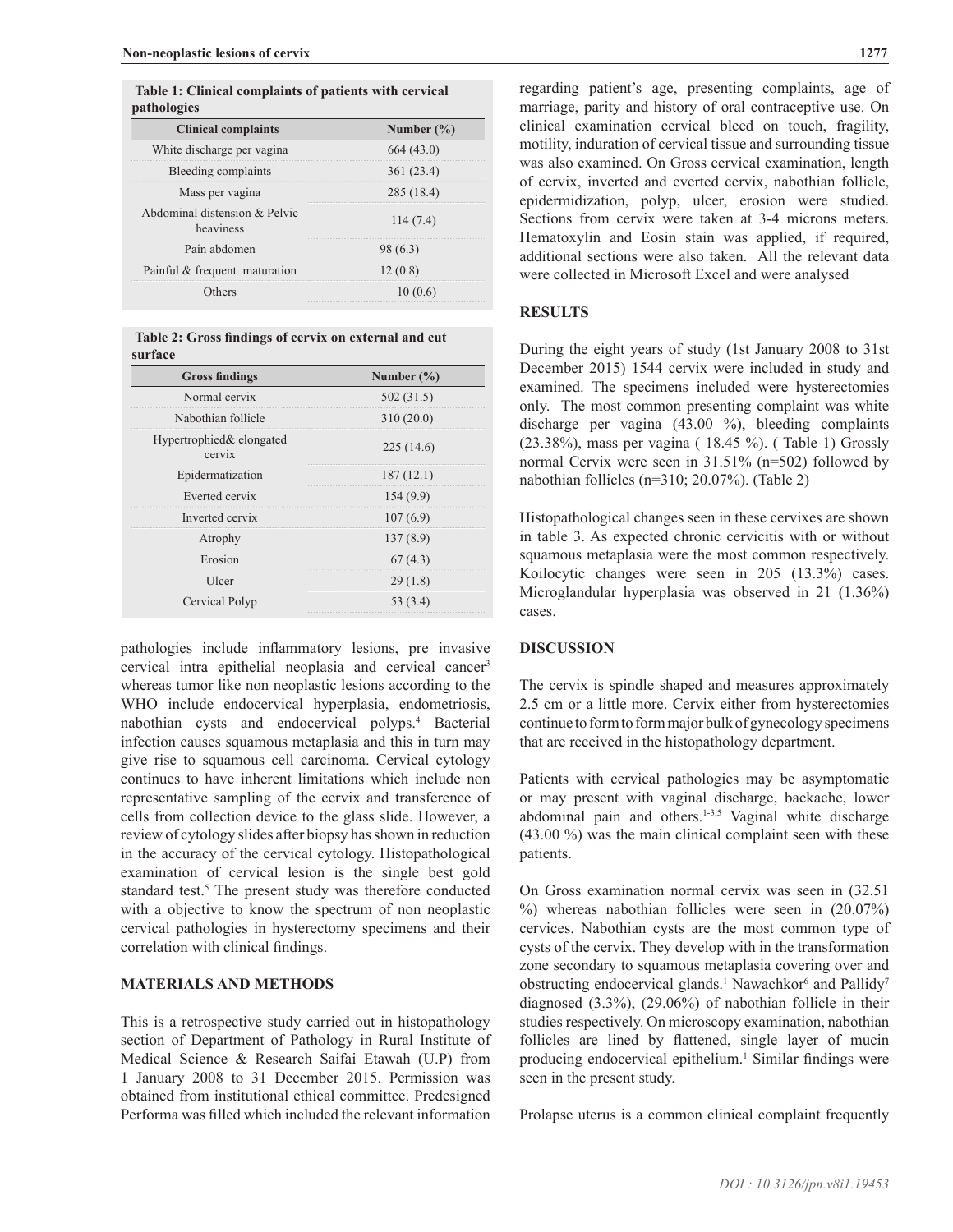**Table 1: Clinical complaints of patients with cervical pathologies**

| <b>Clinical complaints</b>                 | Number $(\% )$ |
|--------------------------------------------|----------------|
| White discharge per vagina                 | 664(43.0)      |
| Bleeding complaints                        | 361 (23.4)     |
| Mass per vagina                            | <br>285 (18.4) |
| Abdominal distension & Pelvic<br>heaviness | 114(7.4)       |
| Pain abdomen                               | 98 (6.3)       |
| Painful & frequent maturation              | 12(0.8)        |
| :here                                      |                |

 **Table 2: Gross findings of cervix on external and cut surface** 

| <b>Gross findings</b>              | Number $(\% )$ |
|------------------------------------|----------------|
| Normal cervix                      | 502(31.5)      |
| Nabothian follicle                 | 310(20.0)      |
| Hypertrophied& elongated<br>cervix | 225(14.6)      |
| Epidermatization                   | 187(12.1)      |
| Everted cervix                     | 154 (9.9)      |
| Inverted cervix                    | 107(6.9)       |
| Atrophy                            | 137(8.9)       |
| Erosion                            | 67(4.3)        |
| Ulcer                              | 29(1.8)        |
| Cervical Polyp                     | 53 (3.4)       |

pathologies include inflammatory lesions, pre invasive cervical intra epithelial neoplasia and cervical cancer<sup>3</sup> whereas tumor like non neoplastic lesions according to the WHO include endocervical hyperplasia, endometriosis, nabothian cysts and endocervical polyps.4 Bacterial infection causes squamous metaplasia and this in turn may give rise to squamous cell carcinoma. Cervical cytology continues to have inherent limitations which include non representative sampling of the cervix and transference of cells from collection device to the glass slide. However, a review of cytology slides after biopsy has shown in reduction in the accuracy of the cervical cytology. Histopathological examination of cervical lesion is the single best gold standard test.<sup>5</sup> The present study was therefore conducted with a objective to know the spectrum of non neoplastic cervical pathologies in hysterectomy specimens and their correlation with clinical findings.

## **MATERIALS AND METHODS**

This is a retrospective study carried out in histopathology section of Department of Pathology in Rural Institute of Medical Science & Research Saifai Etawah (U.P) from 1 January 2008 to 31 December 2015. Permission was obtained from institutional ethical committee. Predesigned Performa was filled which included the relevant information regarding patient's age, presenting complaints, age of marriage, parity and history of oral contraceptive use. On clinical examination cervical bleed on touch, fragility, motility, induration of cervical tissue and surrounding tissue was also examined. On Gross cervical examination, length of cervix, inverted and everted cervix, nabothian follicle, epidermidization, polyp, ulcer, erosion were studied. Sections from cervix were taken at 3-4 microns meters. Hematoxylin and Eosin stain was applied, if required, additional sections were also taken. All the relevant data were collected in Microsoft Excel and were analysed

### **RESULTS**

During the eight years of study (1st January 2008 to 31st December 2015) 1544 cervix were included in study and examined. The specimens included were hysterectomies only. The most common presenting complaint was white discharge per vagina (43.00 %), bleeding complaints (23.38%), mass per vagina ( 18.45 %). ( Table 1) Grossly normal Cervix were seen in 31.51% (n=502) followed by nabothian follicles (n=310; 20.07%). (Table 2)

Histopathological changes seen in these cervixes are shown in table 3. As expected chronic cervicitis with or without squamous metaplasia were the most common respectively. Koilocytic changes were seen in 205 (13.3%) cases. Microglandular hyperplasia was observed in 21 (1.36%) cases.

#### **DISCUSSION**

The cervix is spindle shaped and measures approximately 2.5 cm or a little more. Cervix either from hysterectomies continue to form to form major bulk of gynecology specimens that are received in the histopathology department.

Patients with cervical pathologies may be asymptomatic or may present with vaginal discharge, backache, lower abdominal pain and others.<sup>1-3,5</sup> Vaginal white discharge (43.00 %) was the main clinical complaint seen with these patients.

On Gross examination normal cervix was seen in (32.51 %) whereas nabothian follicles were seen in (20.07%) cervices. Nabothian cysts are the most common type of cysts of the cervix. They develop with in the transformation zone secondary to squamous metaplasia covering over and obstructing endocervical glands.<sup>1</sup> Nawachkor<sup>6</sup> and Pallidy<sup>7</sup> diagnosed (3.3%), (29.06%) of nabothian follicle in their studies respectively. On microscopy examination, nabothian follicles are lined by flattened, single layer of mucin producing endocervical epithelium.<sup>1</sup> Similar findings were seen in the present study.

Prolapse uterus is a common clinical complaint frequently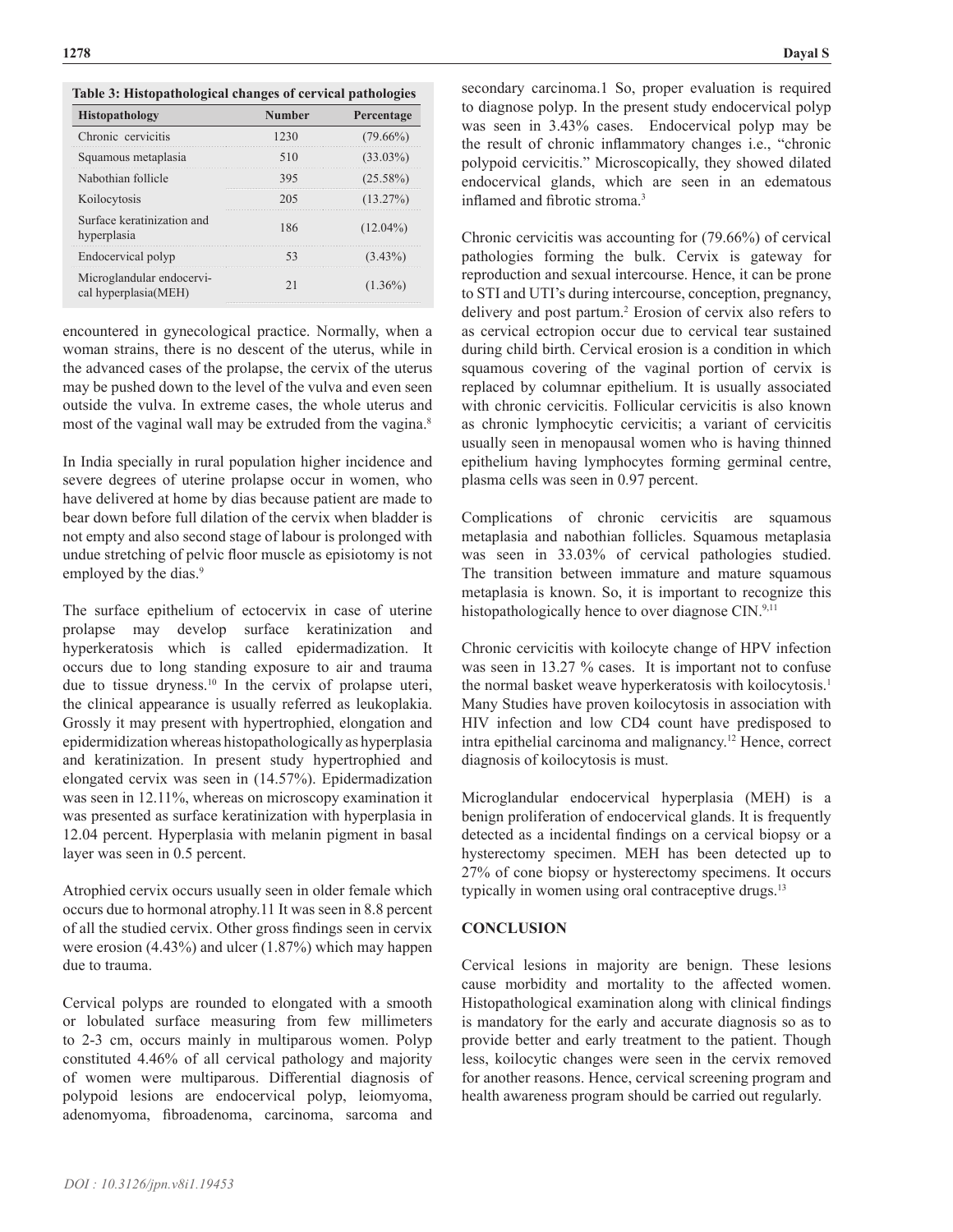| <b>Histopathology</b>                             | <b>Number</b> | Percentage  |
|---------------------------------------------------|---------------|-------------|
| Chronic cervicitis                                | 1230          | $(79.66\%)$ |
| Squamous metaplasia                               | 510           | $(33.03\%)$ |
| Nabothian follicle                                | 395           | $(25.58\%)$ |
| Koilocytosis                                      | 205           | $(13.27\%)$ |
| Surface keratinization and<br>hyperplasia         | 186           | $(12.04\%)$ |
| Endocervical polyp                                |               | $(3.43\%)$  |
| Microglandular endocervi-<br>cal hyperplasia(MEH) |               | $(1.36\%)$  |
|                                                   |               |             |

**Table 3: Histopathological changes of cervical pathologies**

encountered in gynecological practice. Normally, when a woman strains, there is no descent of the uterus, while in the advanced cases of the prolapse, the cervix of the uterus may be pushed down to the level of the vulva and even seen outside the vulva. In extreme cases, the whole uterus and most of the vaginal wall may be extruded from the vagina.<sup>8</sup>

In India specially in rural population higher incidence and severe degrees of uterine prolapse occur in women, who have delivered at home by dias because patient are made to bear down before full dilation of the cervix when bladder is not empty and also second stage of labour is prolonged with undue stretching of pelvic floor muscle as episiotomy is not employed by the dias.<sup>9</sup>

The surface epithelium of ectocervix in case of uterine prolapse may develop surface keratinization and hyperkeratosis which is called epidermadization. It occurs due to long standing exposure to air and trauma due to tissue dryness.<sup>10</sup> In the cervix of prolapse uteri, the clinical appearance is usually referred as leukoplakia. Grossly it may present with hypertrophied, elongation and epidermidization whereas histopathologically as hyperplasia and keratinization. In present study hypertrophied and elongated cervix was seen in (14.57%). Epidermadization was seen in 12.11%, whereas on microscopy examination it was presented as surface keratinization with hyperplasia in 12.04 percent. Hyperplasia with melanin pigment in basal layer was seen in 0.5 percent.

Atrophied cervix occurs usually seen in older female which occurs due to hormonal atrophy.11 It was seen in 8.8 percent of all the studied cervix. Other gross findings seen in cervix were erosion (4.43%) and ulcer (1.87%) which may happen due to trauma.

Cervical polyps are rounded to elongated with a smooth or lobulated surface measuring from few millimeters to 2-3 cm, occurs mainly in multiparous women. Polyp constituted 4.46% of all cervical pathology and majority of women were multiparous. Differential diagnosis of polypoid lesions are endocervical polyp, leiomyoma, adenomyoma, fibroadenoma, carcinoma, sarcoma and

secondary carcinoma.1 So, proper evaluation is required to diagnose polyp. In the present study endocervical polyp was seen in 3.43% cases. Endocervical polyp may be the result of chronic inflammatory changes i.e., "chronic polypoid cervicitis." Microscopically, they showed dilated endocervical glands, which are seen in an edematous inflamed and fibrotic stroma.<sup>3</sup>

Chronic cervicitis was accounting for (79.66%) of cervical pathologies forming the bulk. Cervix is gateway for reproduction and sexual intercourse. Hence, it can be prone to STI and UTI's during intercourse, conception, pregnancy, delivery and post partum.2 Erosion of cervix also refers to as cervical ectropion occur due to cervical tear sustained during child birth. Cervical erosion is a condition in which squamous covering of the vaginal portion of cervix is replaced by columnar epithelium. It is usually associated with chronic cervicitis. Follicular cervicitis is also known as chronic lymphocytic cervicitis; a variant of cervicitis usually seen in menopausal women who is having thinned epithelium having lymphocytes forming germinal centre, plasma cells was seen in 0.97 percent.

Complications of chronic cervicitis are squamous metaplasia and nabothian follicles. Squamous metaplasia was seen in 33.03% of cervical pathologies studied. The transition between immature and mature squamous metaplasia is known. So, it is important to recognize this histopathologically hence to over diagnose CIN.<sup>9,11</sup>

Chronic cervicitis with koilocyte change of HPV infection was seen in 13.27 % cases. It is important not to confuse the normal basket weave hyperkeratosis with koilocytosis.<sup>1</sup> Many Studies have proven koilocytosis in association with HIV infection and low CD4 count have predisposed to intra epithelial carcinoma and malignancy.12 Hence, correct diagnosis of koilocytosis is must.

Microglandular endocervical hyperplasia (MEH) is a benign proliferation of endocervical glands. It is frequently detected as a incidental findings on a cervical biopsy or a hysterectomy specimen. MEH has been detected up to 27% of cone biopsy or hysterectomy specimens. It occurs typically in women using oral contraceptive drugs.<sup>13</sup>

# **CONCLUSION**

Cervical lesions in majority are benign. These lesions cause morbidity and mortality to the affected women. Histopathological examination along with clinical findings is mandatory for the early and accurate diagnosis so as to provide better and early treatment to the patient. Though less, koilocytic changes were seen in the cervix removed for another reasons. Hence, cervical screening program and health awareness program should be carried out regularly.